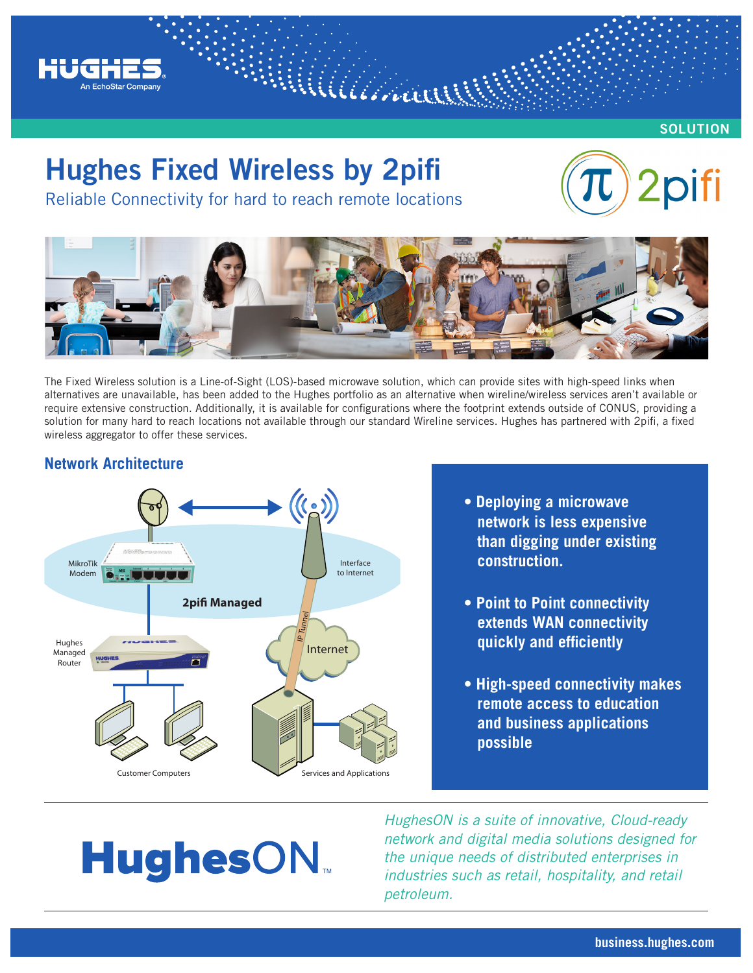

**SOLUTION**

## **Hughes Fixed Wireless by 2pifi**

Reliable Connectivity for hard to reach remote locations





William

The Fixed Wireless solution is a Line-of-Sight (LOS)-based microwave solution, which can provide sites with high-speed links when alternatives are unavailable, has been added to the Hughes portfolio as an alternative when wireline/wireless services aren't available or require extensive construction. Additionally, it is available for configurations where the footprint extends outside of CONUS, providing a solution for many hard to reach locations not available through our standard Wireline services. Hughes has partnered with 2pifi, a fixed wireless aggregator to offer these services.

### **Network Architecture**



- **Deploying a microwave network is less expensive than digging under existing construction.**
- **Point to Point connectivity extends WAN connectivity quickly and efficiently**
- **High-speed connectivity makes remote access to education and business applications possible**

# **HughesON**

*HughesON is a suite of innovative, Cloud-ready network and digital media solutions designed for the unique needs of distributed enterprises in industries such as retail, hospitality, and retail petroleum.*